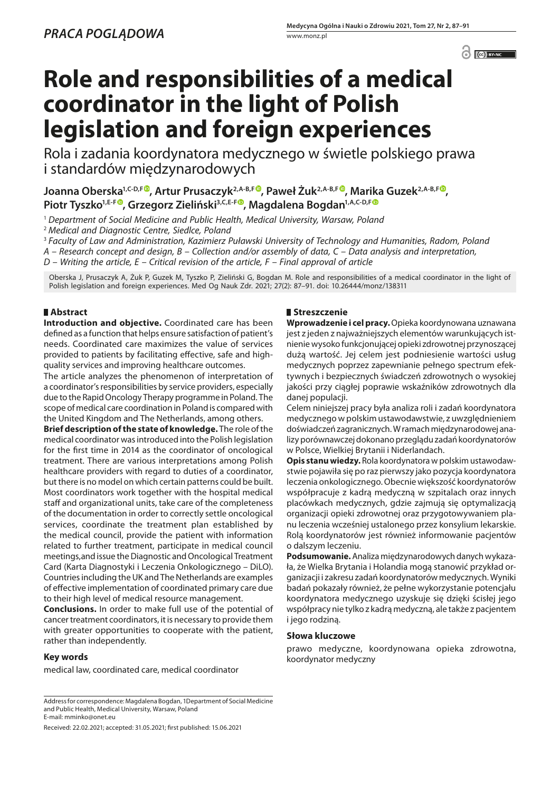C CC BY-NC

# **Role and responsibilities of a medical coordinator in the light of Polish legislation and foreign experiences**

Rola i zadania koordynatora medycznego w świetle polskiego prawa i standardów międzynarodowych

**Joanna Oberska1,C-D,F , Artur Prusaczyk2,A-B,F , Paweł Żuk2,A-B,F , Marika Guzek2,A-B,F [,](https:/orcid.org/0000-0001-5398-9586) Piotr Tyszko1,E-F , Grzegorz Zieliński3,C,E-[F](https:/orcid.org/0000-0001-7517-920X) , Magdalena Bogdan1,A,C-D,F**

<sup>1</sup> *Department of Social Medicine and Public Health, Medical University, Warsaw, Poland*

<sup>2</sup> *Medical and Diagnostic Centre, Siedlce, Poland*

<sup>3</sup> *Faculty of Law and Administration, Kazimierz Puławski University of Technology and Humanities, Radom, Poland*

*A – Research concept and design, B – Collection and/or assembly of data, C – Data analysis and interpretation,* 

*D – Writing the article, E – Critical revision of the article, F – Final approval of article*

Oberska J, Prusaczyk A, Żuk P, Guzek M, Tyszko P, Zieliński G, Bogdan M. Role and responsibilities of a medical coordinator in the light of Polish legislation and foreign experiences. Med Og Nauk Zdr. 2021; 27(2): 87–91. doi: 10.26444/monz/138311

# **Abstract**

**Introduction and objective.** Coordinated care has been defined as a function that helps ensure satisfaction of patient's needs. Coordinated care maximizes the value of services provided to patients by facilitating effective, safe and highquality services and improving healthcare outcomes.

The article analyzes the phenomenon of interpretation of a coordinator's responsibilities by service providers, especially due to the Rapid Oncology Therapy programme in Poland. The scope of medical care coordination in Poland is compared with the United Kingdom and The Netherlands, among others.

**Brief description of the state of knowledge.** The role of the medical coordinator was introduced into the Polish legislation for the first time in 2014 as the coordinator of oncological treatment. There are various interpretations among Polish healthcare providers with regard to duties of a coordinator, but there is no model on which certain patterns could be built. Most coordinators work together with the hospital medical staff and organizational units, take care of the completeness of the documentation in order to correctly settle oncological services, coordinate the treatment plan established by the medical council, provide the patient with information related to further treatment, participate in medical council meetings,and issue the Diagnostic and Oncological Treatment Card (Karta Diagnostyki i Leczenia Onkologicznego – DiLO). Countries including the UK and The Netherlands are examples of effective implementation of coordinated primary care due to their high level of medical resource management.

**Conclusions.** In order to make full use of the potential of cancer treatment coordinators, it is necessary to provide them with greater opportunities to cooperate with the patient, rather than independently.

## **Key words**

medical law, coordinated care, medical coordinator

Address for correspondence: Magdalena Bogdan, 1Department of Social Medicine and Public Health, Medical University, Warsaw, Poland E-mail: mminko@onet.eu

Received: 22.02.2021; accepted: 31.05.2021; first published: 15.06.2021

# **Streszczenie**

**Wprowadzenie i cel pracy.** Opieka koordynowana uznawana jest z jeden z najważniejszych elementów warunkujących istnienie wysoko funkcjonującej opieki zdrowotnej przynoszącej dużą wartość. Jej celem jest podniesienie wartości usług medycznych poprzez zapewnianie pełnego spectrum efektywnych i bezpiecznych świadczeń zdrowotnych o wysokiej jakości przy ciągłej poprawie wskaźników zdrowotnych dla danej populacji.

Celem niniejszej pracy była analiza roli i zadań koordynatora medycznego w polskim ustawodawstwie, z uwzględnieniem doświadczeń zagranicznych. W ramach międzynarodowej analizy porównawczej dokonano przeglądu zadań koordynatorów w Polsce, Wielkiej Brytanii i Niderlandach.

**Opis stanu wiedzy.** Rola koordynatora w polskim ustawodawstwie pojawiła się po raz pierwszy jako pozycja koordynatora leczenia onkologicznego. Obecnie większość koordynatorów współpracuje z kadrą medyczną w szpitalach oraz innych placówkach medycznych, gdzie zajmują się optymalizacją organizacji opieki zdrowotnej oraz przygotowywaniem planu leczenia wcześniej ustalonego przez konsylium lekarskie. Rolą koordynatorów jest również informowanie pacjentów o dalszym leczeniu.

**Podsumowanie.** Analiza międzynarodowych danych wykazała, że Wielka Brytania i Holandia mogą stanowić przykład organizacji i zakresu zadań koordynatorów medycznych. Wyniki badań pokazały również, że pełne wykorzystanie potencjału koordynatora medycznego uzyskuje się dzięki ścisłej jego współpracy nie tylko z kadrą medyczną, ale także z pacjentem i jego rodziną.

## **Słowa kluczowe**

prawo medyczne, koordynowana opieka zdrowotna, koordynator medyczny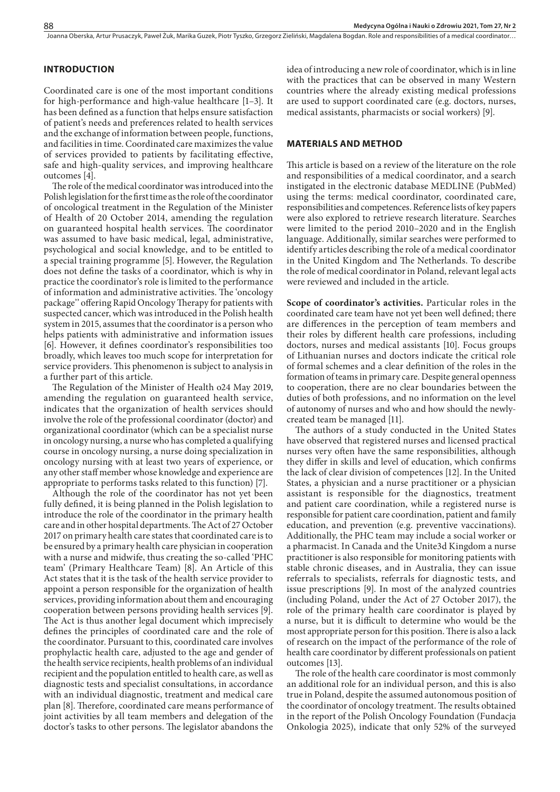#### Joanna Oberska, Artur Prusaczyk, Paweł Żuk, Marika Guzek, Piotr Tyszko, Grzegorz Zieliński, Magdalena Bogdan. Role and responsibilities of a medical coordinator...

## **INTRODUCTION**

Coordinated care is one of the most important conditions for high-performance and high-value healthcare [1–3]. It has been defined as a function that helps ensure satisfaction of patient's needs and preferences related to health services and the exchange of information between people, functions, and facilities in time. Coordinated care maximizes the value of services provided to patients by facilitating effective, safe and high-quality services, and improving healthcare outcomes [4].

The role of the medical coordinator was introduced into the Polish legislation for the first time as the role of the coordinator of oncological treatment in the Regulation of the Minister of Health of 20 October 2014, amending the regulation on guaranteed hospital health services. The coordinator was assumed to have basic medical, legal, administrative, psychological and social knowledge, and to be entitled to a special training programme [5]. However, the Regulation does not define the tasks of a coordinator, which is why in practice the coordinator's role is limited to the performance of information and administrative activities. The 'oncology package'' offering Rapid Oncology Therapy for patients with suspected cancer, which was introduced in the Polish health system in 2015, assumes that the coordinator is a person who helps patients with administrative and information issues [6]. However, it defines coordinator's responsibilities too broadly, which leaves too much scope for interpretation for service providers. This phenomenon is subject to analysis in a further part of this article.

The Regulation of the Minister of Health o24 May 2019, amending the regulation on guaranteed health service, indicates that the organization of health services should involve the role of the professional coordinator (doctor) and organizational coordinator (which can be a specialist nurse in oncology nursing, a nurse who has completed a qualifying course in oncology nursing, a nurse doing specialization in oncology nursing with at least two years of experience, or any other staff member whose knowledge and experience are appropriate to performs tasks related to this function) [7].

Although the role of the coordinator has not yet been fully defined, it is being planned in the Polish legislation to introduce the role of the coordinator in the primary health care and in other hospital departments. The Act of 27 October 2017 on primary health care states that coordinated care is to be ensured by a primary health care physician in cooperation with a nurse and midwife, thus creating the so-called 'PHC team' (Primary Healthcare Team) [8]. An Article of this Act states that it is the task of the health service provider to appoint a person responsible for the organization of health services, providing information about them and encouraging cooperation between persons providing health services [9]. The Act is thus another legal document which imprecisely defines the principles of coordinated care and the role of the coordinator. Pursuant to this, coordinated care involves prophylactic health care, adjusted to the age and gender of the health service recipients, health problems of an individual recipient and the population entitled to health care, as well as diagnostic tests and specialist consultations, in accordance with an individual diagnostic, treatment and medical care plan [8]. Therefore, coordinated care means performance of joint activities by all team members and delegation of the doctor's tasks to other persons. The legislator abandons the

idea of introducing a new role of coordinator, which is in line with the practices that can be observed in many Western countries where the already existing medical professions are used to support coordinated care (e.g. doctors, nurses, medical assistants, pharmacists or social workers) [9].

#### **MATERIALS AND METHOD**

This article is based on a review of the literature on the role and responsibilities of a medical coordinator, and a search instigated in the electronic database MEDLINE (PubMed) using the terms: medical coordinator, coordinated care, responsibilities and competences. Reference lists of key papers were also explored to retrieve research literature. Searches were limited to the period 2010–2020 and in the English language. Additionally, similar searches were performed to identify articles describing the role of a medical coordinator in the United Kingdom and The Netherlands. To describe the role of medical coordinator in Poland, relevant legal acts were reviewed and included in the article.

**Scope of coordinator's activities.** Particular roles in the coordinated care team have not yet been well defined; there are differences in the perception of team members and their roles by different health care professions, including doctors, nurses and medical assistants [10]. Focus groups of Lithuanian nurses and doctors indicate the critical role of formal schemes and a clear definition of the roles in the formation of teams in primary care. Despite general openness to cooperation, there are no clear boundaries between the duties of both professions, and no information on the level of autonomy of nurses and who and how should the newlycreated team be managed [11].

The authors of a study conducted in the United States have observed that registered nurses and licensed practical nurses very often have the same responsibilities, although they differ in skills and level of education, which confirms the lack of clear division of competences [12]. In the United States, a physician and a nurse practitioner or a physician assistant is responsible for the diagnostics, treatment and patient care coordination, while a registered nurse is responsible for patient care coordination, patient and family education, and prevention (e.g. preventive vaccinations). Additionally, the PHC team may include a social worker or a pharmacist. In Canada and the Unite3d Kingdom a nurse practitioner is also responsible for monitoring patients with stable chronic diseases, and in Australia, they can issue referrals to specialists, referrals for diagnostic tests, and issue prescriptions [9]. In most of the analyzed countries (including Poland, under the Act of 27 October 2017), the role of the primary health care coordinator is played by a nurse, but it is difficult to determine who would be the most appropriate person for this position. There is also a lack of research on the impact of the performance of the role of health care coordinator by different professionals on patient outcomes [13].

The role of the health care coordinator is most commonly an additional role for an individual person, and this is also true in Poland, despite the assumed autonomous position of the coordinator of oncology treatment. The results obtained in the report of the Polish Oncology Foundation (Fundacja Onkologia 2025), indicate that only 52% of the surveyed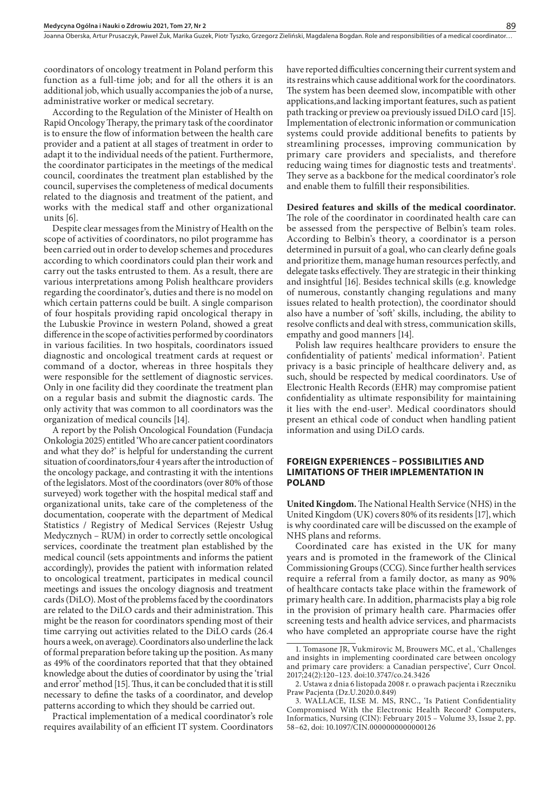Joanna Oberska, Artur Prusaczyk, Paweł Żuk, Marika Guzek, Piotr Tyszko, Grzegorz Zieliński, Magdalena Bogdan. Role and responsibilities of a medical coordinator..

coordinators of oncology treatment in Poland perform this function as a full-time job; and for all the others it is an additional job, which usually accompanies the job of a nurse, administrative worker or medical secretary.

According to the Regulation of the Minister of Health on Rapid Oncology Therapy, the primary task of the coordinator is to ensure the flow of information between the health care provider and a patient at all stages of treatment in order to adapt it to the individual needs of the patient. Furthermore, the coordinator participates in the meetings of the medical council, coordinates the treatment plan established by the council, supervises the completeness of medical documents related to the diagnosis and treatment of the patient, and works with the medical staff and other organizational units [6].

Despite clear messages from the Ministry of Health on the scope of activities of coordinators, no pilot programme has been carried out in order to develop schemes and procedures according to which coordinators could plan their work and carry out the tasks entrusted to them. As a result, there are various interpretations among Polish healthcare providers regarding the coordinator's, duties and there is no model on which certain patterns could be built. A single comparison of four hospitals providing rapid oncological therapy in the Lubuskie Province in western Poland, showed a great difference in the scope of activities performed by coordinators in various facilities. In two hospitals, coordinators issued diagnostic and oncological treatment cards at request or command of a doctor, whereas in three hospitals they were responsible for the settlement of diagnostic services. Only in one facility did they coordinate the treatment plan on a regular basis and submit the diagnostic cards. The only activity that was common to all coordinators was the organization of medical councils [14].

A report by the Polish Oncological Foundation (Fundacja Onkologia 2025) entitled 'Who are cancer patient coordinators and what they do?' is helpful for understanding the current situation of coordinators,four 4 years after the introduction of the oncology package, and contrasting it with the intentions of the legislators. Most of the coordinators (over 80% of those surveyed) work together with the hospital medical staff and organizational units, take care of the completeness of the documentation, cooperate with the department of Medical Statistics / Registry of Medical Services (Rejestr Usług Medycznych – RUM) in order to correctly settle oncological services, coordinate the treatment plan established by the medical council (sets appointments and informs the patient accordingly), provides the patient with information related to oncological treatment, participates in medical council meetings and issues the oncology diagnosis and treatment cards (DiLO). Most of the problems faced by the coordinators are related to the DiLO cards and their administration. This might be the reason for coordinators spending most of their time carrying out activities related to the DiLO cards (26.4 hours a week, on average). Coordinators also underline the lack of formal preparation before taking up the position. As many as 49% of the coordinators reported that that they obtained knowledge about the duties of coordinator by using the 'trial and error' method [15]. Thus, it can be concluded that it is still necessary to define the tasks of a coordinator, and develop patterns according to which they should be carried out.

Practical implementation of a medical coordinator's role requires availability of an efficient IT system. Coordinators

have reported difficulties concerning their current system and its restrains which cause additional work for the coordinators. The system has been deemed slow, incompatible with other applications,and lacking important features, such as patient path tracking or preview oa previously issued DiLO card [15]. Implementation of electronic information or communication systems could provide additional benefits to patients by streamlining processes, improving communication by primary care providers and specialists, and therefore reducing waing times for diagnostic tests and treatments<sup>1</sup>. They serve as a backbone for the medical coordinator's role and enable them to fulfill their responsibilities.

#### **Desired features and skills of the medical coordinator.**

The role of the coordinator in coordinated health care can be assessed from the perspective of Belbin's team roles. According to Belbin's theory, a coordinator is a person determined in pursuit of a goal, who can clearly define goals and prioritize them, manage human resources perfectly, and delegate tasks effectively. They are strategic in their thinking and insightful [16]. Besides technical skills (e.g. knowledge of numerous, constantly changing regulations and many issues related to health protection), the coordinator should also have a number of 'soft' skills, including, the ability to resolve conflicts and deal with stress, communication skills, empathy and good manners [14].

Polish law requires healthcare providers to ensure the confidentiality of patients' medical information<sup>2</sup>. Patient privacy is a basic principle of healthcare delivery and, as such, should be respected by medical coordinators. Use of Electronic Health Records (EHR) may compromise patient confidentiality as ultimate responsibility for maintaining it lies with the end-user<sup>3</sup>. Medical coordinators should present an ethical code of conduct when handling patient information and using DiLO cards.

#### **FOREIGN EXPERIENCES – POSSIBILITIES AND LIMITATIONS OF THEIR IMPLEMENTATION IN POLAND**

**United Kingdom.** The National Health Service (NHS) in the United Kingdom (UK) covers 80% of its residents [17], which is why coordinated care will be discussed on the example of NHS plans and reforms.

Coordinated care has existed in the UK for many years and is promoted in the framework of the Clinical Commissioning Groups (CCG). Since further health services require a referral from a family doctor, as many as 90% of healthcare contacts take place within the framework of primary health care. In addition, pharmacists play a big role in the provision of primary health care. Pharmacies offer screening tests and health advice services, and pharmacists who have completed an appropriate course have the right

<sup>1.</sup> Tomasone JR, Vukmirovic M, Brouwers MC, et al., 'Challenges and insights in implementing coordinated care between oncology and primary care providers: a Canadian perspective', Curr Oncol. 2017;24(2):120–123. doi:10.3747/co.24.3426

<sup>2.</sup> Ustawa z dnia 6 listopada 2008 r. o prawach pacjenta i Rzeczniku Praw Pacjenta (Dz.U.2020.0.849)

<sup>3.</sup> WALLACE, ILSE M. MS, RNC., 'Is Patient Confidentiality Compromised With the Electronic Health Record? Computers, Informatics, Nursing (CIN): February 2015 – Volume 33, Issue 2, pp. 58–62, doi: 10.1097/CIN.0000000000000126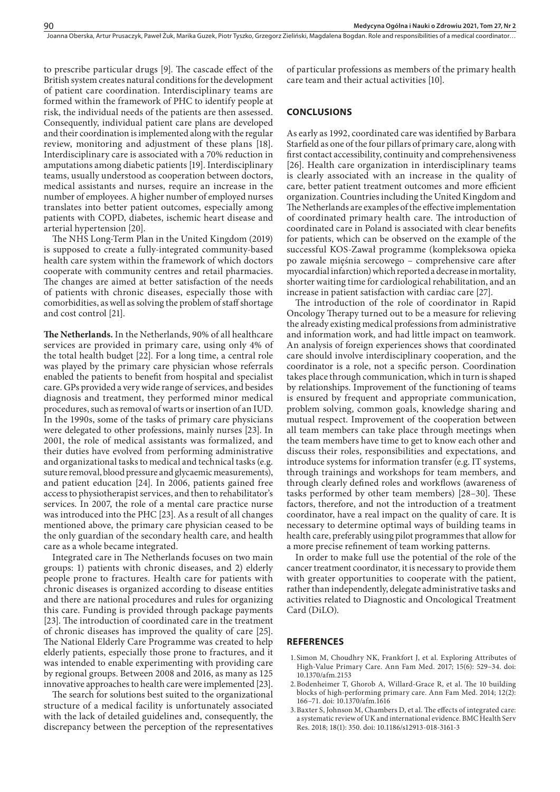to prescribe particular drugs [9]. The cascade effect of the British system creates natural conditions for the development of patient care coordination. Interdisciplinary teams are formed within the framework of PHC to identify people at risk, the individual needs of the patients are then assessed. Consequently, individual patient care plans are developed and their coordination is implemented along with the regular review, monitoring and adjustment of these plans [18]. Interdisciplinary care is associated with a 70% reduction in amputations among diabetic patients [19]. Interdisciplinary teams, usually understood as cooperation between doctors, medical assistants and nurses, require an increase in the number of employees. A higher number of employed nurses translates into better patient outcomes, especially among patients with COPD, diabetes, ischemic heart disease and arterial hypertension [20].

The NHS Long-Term Plan in the United Kingdom (2019) is supposed to create a fully-integrated community-based health care system within the framework of which doctors cooperate with community centres and retail pharmacies. The changes are aimed at better satisfaction of the needs of patients with chronic diseases, especially those with comorbidities, as well as solving the problem of staff shortage and cost control [21].

**The Netherlands.** In the Netherlands, 90% of all healthcare services are provided in primary care, using only 4% of the total health budget [22]. For a long time, a central role was played by the primary care physician whose referrals enabled the patients to benefit from hospital and specialist care. GPs provided a very wide range of services, and besides diagnosis and treatment, they performed minor medical procedures, such as removal of warts or insertion of an IUD. In the 1990s, some of the tasks of primary care physicians were delegated to other professions, mainly nurses [23]. In 2001, the role of medical assistants was formalized, and their duties have evolved from performing administrative and organizational tasks to medical and technical tasks (e.g. suture removal, blood pressure and glycaemic measurements), and patient education [24]. In 2006, patients gained free access to physiotherapist services, and then to rehabilitator's services. In 2007, the role of a mental care practice nurse was introduced into the PHC [23]. As a result of all changes mentioned above, the primary care physician ceased to be the only guardian of the secondary health care, and health care as a whole became integrated.

Integrated care in The Netherlands focuses on two main groups: 1) patients with chronic diseases, and 2) elderly people prone to fractures. Health care for patients with chronic diseases is organized according to disease entities and there are national procedures and rules for organizing this care. Funding is provided through package payments [23]. The introduction of coordinated care in the treatment of chronic diseases has improved the quality of care [25]. The National Elderly Care Programme was created to help elderly patients, especially those prone to fractures, and it was intended to enable experimenting with providing care by regional groups. Between 2008 and 2016, as many as 125 innovative approaches to health care were implemented [23].

The search for solutions best suited to the organizational structure of a medical facility is unfortunately associated with the lack of detailed guidelines and, consequently, the discrepancy between the perception of the representatives of particular professions as members of the primary health care team and their actual activities [10].

#### **CONCLUSIONS**

As early as 1992, coordinated care was identified by Barbara Starfield as one of the four pillars of primary care, along with first contact accessibility, continuity and comprehensiveness [26]. Health care organization in interdisciplinary teams is clearly associated with an increase in the quality of care, better patient treatment outcomes and more efficient organization. Countries including the United Kingdom and The Netherlands are examples of the effective implementation of coordinated primary health care. The introduction of coordinated care in Poland is associated with clear benefits for patients, which can be observed on the example of the successful KOS-Zawał programme (kompleksowa opieka po zawale mięśnia sercowego – comprehensive care after myocardial infarction) which reported a decrease in mortality, shorter waiting time for cardiological rehabilitation, and an increase in patient satisfaction with cardiac care [27].

The introduction of the role of coordinator in Rapid Oncology Therapy turned out to be a measure for relieving the already existing medical professions from administrative and information work, and had little impact on teamwork. An analysis of foreign experiences shows that coordinated care should involve interdisciplinary cooperation, and the coordinator is a role, not a specific person. Coordination takes place through communication, which in turn is shaped by relationships. Improvement of the functioning of teams is ensured by frequent and appropriate communication, problem solving, common goals, knowledge sharing and mutual respect. Improvement of the cooperation between all team members can take place through meetings when the team members have time to get to know each other and discuss their roles, responsibilities and expectations, and introduce systems for information transfer (e.g. IT systems, through trainings and workshops for team members, and through clearly defined roles and workflows (awareness of tasks performed by other team members) [28–30]. These factors, therefore, and not the introduction of a treatment coordinator, have a real impact on the quality of care. It is necessary to determine optimal ways of building teams in health care, preferably using pilot programmes that allow for a more precise refinement of team working patterns.

In order to make full use the potential of the role of the cancer treatment coordinator, it is necessary to provide them with greater opportunities to cooperate with the patient, rather than independently, delegate administrative tasks and activities related to Diagnostic and Oncological Treatment Card (DiLO).

#### **REFERENCES**

- 1.Simon M, Choudhry NK, Frankfort J, et al. Exploring Attributes of High-Value Primary Care. Ann Fam Med. 2017; 15(6): 529–34. doi: 10.1370/afm.2153
- 2.Bodenheimer T, Ghorob A, Willard-Grace R, et al. The 10 building blocks of high-performing primary care. Ann Fam Med. 2014; 12(2): 166–71. doi: 10.1370/afm.1616
- 3.Baxter S, Johnson M, Chambers D, et al. The effects of integrated care: a systematic review of UK and international evidence. BMC Health Serv Res. 2018; 18(1): 350. doi: 10.1186/s12913-018-3161-3